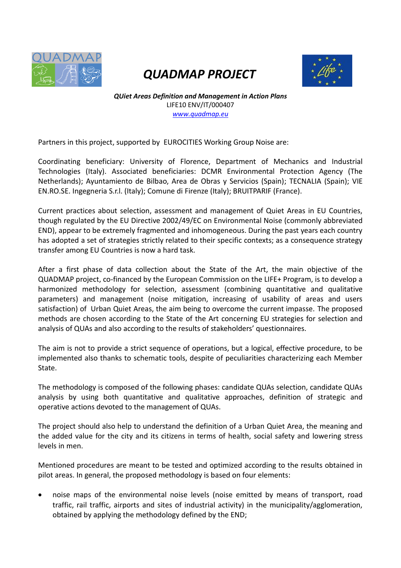

## *QUADMAP PROJECT*



*QUiet Areas Definition and Management in Action Plans* LIFE10 ENV/IT/000407 *[www.quadmap.eu](http://www.quadmap.eu/)*

Partners in this project, supported by EUROCITIES Working Group Noise are:

Coordinating beneficiary: University of Florence, Department of Mechanics and Industrial Technologies (Italy). Associated beneficiaries: DCMR Environmental Protection Agency (The Netherlands); Ayuntamiento de Bilbao, Area de Obras y Servicios (Spain); TECNALIA (Spain); VIE EN.RO.SE. Ingegneria S.r.l. (Italy); Comune di Firenze (Italy); BRUITPARIF (France).

Current practices about selection, assessment and management of Quiet Areas in EU Countries, though regulated by the EU Directive 2002/49/EC on Environmental Noise (commonly abbreviated END), appear to be extremely fragmented and inhomogeneous. During the past years each country has adopted a set of strategies strictly related to their specific contexts; as a consequence strategy transfer among EU Countries is now a hard task.

After a first phase of data collection about the State of the Art, the main objective of the QUADMAP project, co-financed by the European Commission on the LIFE+ Program, is to develop a harmonized methodology for selection, assessment (combining quantitative and qualitative parameters) and management (noise mitigation, increasing of usability of areas and users satisfaction) of Urban Quiet Areas, the aim being to overcome the current impasse. The proposed methods are chosen according to the State of the Art concerning EU strategies for selection and analysis of QUAs and also according to the results of stakeholders' questionnaires.

The aim is not to provide a strict sequence of operations, but a logical, effective procedure, to be implemented also thanks to schematic tools, despite of peculiarities characterizing each Member State.

The methodology is composed of the following phases: candidate QUAs selection, candidate QUAs analysis by using both quantitative and qualitative approaches, definition of strategic and operative actions devoted to the management of QUAs.

The project should also help to understand the definition of a Urban Quiet Area, the meaning and the added value for the city and its citizens in terms of health, social safety and lowering stress levels in men.

Mentioned procedures are meant to be tested and optimized according to the results obtained in pilot areas. In general, the proposed methodology is based on four elements:

 noise maps of the environmental noise levels (noise emitted by means of transport, road traffic, rail traffic, airports and sites of industrial activity) in the municipality/agglomeration, obtained by applying the methodology defined by the END;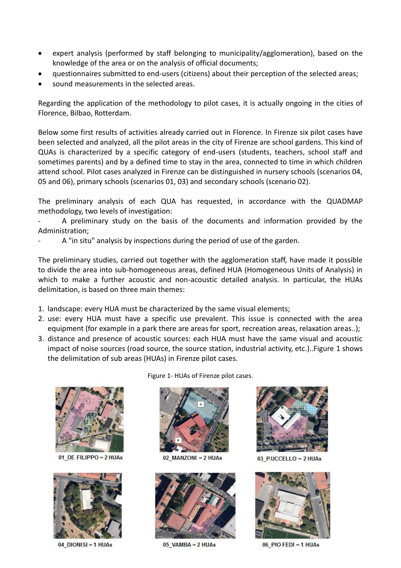- expert analysis (performed by staff belonging to municipality/agglomeration), based on the knowledge of the area or on the analysis of official documents;
- questionnaires submitted to end-users (citizens) about their perception of the selected areas;
- sound measurements in the selected areas.

Regarding the application of the methodology to pilot cases, it is actually ongoing in the cities of Florence, Bilbao, Rotterdam.

Below some first results of activities already carried out in Florence. In Firenze six pilot cases have been selected and analyzed, all the pilot areas in the city of Firenze are school gardens. This kind of QUAs is characterized by a specific category of end-users (students, teachers, school staff and sometimes parents) and by a defined time to stay in the area, connected to time in which children attend school. Pilot cases analyzed in Firenze can be distinguished in nursery schools (scenarios 04, 05 and 06), primary schools (scenarios 01, 03) and secondary schools (scenario 02).

The preliminary analysis of each QUA has requested, in accordance with the QUADMAP methodology, two levels of investigation:

- A preliminary study on the basis of the documents and information provided by the Administration;

A "in situ" analysis by inspections during the period of use of the garden.

The preliminary studies, carried out together with the agglomeration staff, have made it possible to divide the area into sub-homogeneous areas, defined HUA (Homogeneous Units of Analysis) in which to make a further acoustic and non-acoustic detailed analysis. In particular, the HUAs delimitation, is based on three main themes:

- 1. landscape: every HUA must be characterized by the same visual elements;
- 2. use: every HUA must have a specific use prevalent. This issue is connected with the area equipment (for example in a park there are areas for sport, recreation areas, relaxation areas..);
- 3. distance and presence of acoustic sources: each HUA must have the same visual and acoustic impact of noise sources (road source, the source station, industrial activity, etc.)..Figure 1 shows the delimitation of sub areas (HUAs) in Firenze pilot cases.



01 DE FILIPPO = 2 HUAs



 $04$  DIONISI = 1 HUAs

Figure 1- HUAs of Firenze pilot cases.



02 MANZONI = 2 HUAs



05 VAMBA = 2 HUAs



03 P.UCCELLO = 2 HUAs



 $06$  PIO FEDI = 1 HUAs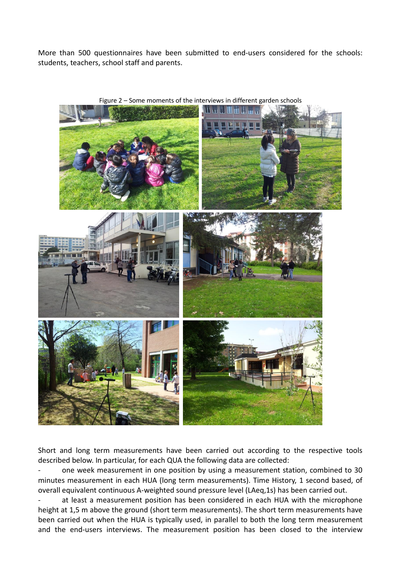More than 500 questionnaires have been submitted to end-users considered for the schools: students, teachers, school staff and parents.



Figure 2 – Some moments of the interviews in different garden schools

Short and long term measurements have been carried out according to the respective tools described below. In particular, for each QUA the following data are collected:

one week measurement in one position by using a measurement station, combined to 30 minutes measurement in each HUA (long term measurements). Time History, 1 second based, of overall equivalent continuous A-weighted sound pressure level (LAeq,1s) has been carried out.

at least a measurement position has been considered in each HUA with the microphone height at 1,5 m above the ground (short term measurements). The short term measurements have been carried out when the HUA is typically used, in parallel to both the long term measurement and the end-users interviews. The measurement position has been closed to the interview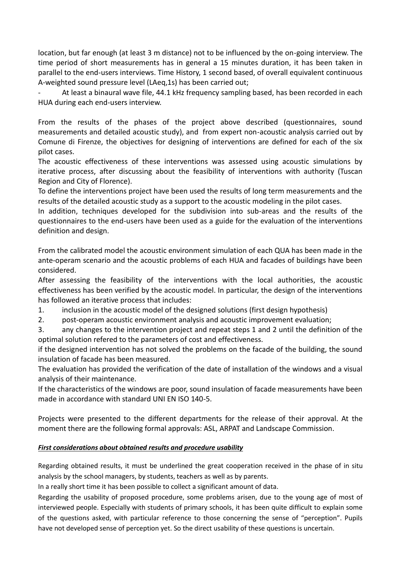location, but far enough (at least 3 m distance) not to be influenced by the on-going interview. The time period of short measurements has in general a 15 minutes duration, it has been taken in parallel to the end-users interviews. Time History, 1 second based, of overall equivalent continuous A-weighted sound pressure level (LAeq,1s) has been carried out;

At least a binaural wave file, 44.1 kHz frequency sampling based, has been recorded in each HUA during each end-users interview.

From the results of the phases of the project above described (questionnaires, sound measurements and detailed acoustic study), and from expert non-acoustic analysis carried out by Comune di Firenze, the objectives for designing of interventions are defined for each of the six pilot cases.

The acoustic effectiveness of these interventions was assessed using acoustic simulations by iterative process, after discussing about the feasibility of interventions with authority (Tuscan Region and City of Florence).

To define the interventions project have been used the results of long term measurements and the results of the detailed acoustic study as a support to the acoustic modeling in the pilot cases.

In addition, techniques developed for the subdivision into sub-areas and the results of the questionnaires to the end-users have been used as a guide for the evaluation of the interventions definition and design.

From the calibrated model the acoustic environment simulation of each QUA has been made in the ante-operam scenario and the acoustic problems of each HUA and facades of buildings have been considered.

After assessing the feasibility of the interventions with the local authorities, the acoustic effectiveness has been verified by the acoustic model. In particular, the design of the interventions has followed an iterative process that includes:

1. inclusion in the acoustic model of the designed solutions (first design hypothesis)

2. post-operam acoustic environment analysis and acoustic improvement evaluation;

3. any changes to the intervention project and repeat steps 1 and 2 until the definition of the optimal solution refered to the parameters of cost and effectiveness.

if the designed intervention has not solved the problems on the facade of the building, the sound insulation of facade has been measured.

The evaluation has provided the verification of the date of installation of the windows and a visual analysis of their maintenance.

If the characteristics of the windows are poor, sound insulation of facade measurements have been made in accordance with standard UNI EN ISO 140-5.

Projects were presented to the different departments for the release of their approval. At the moment there are the following formal approvals: ASL, ARPAT and Landscape Commission.

## *First considerations about obtained results and procedure usability*

Regarding obtained results, it must be underlined the great cooperation received in the phase of in situ analysis by the school managers, by students, teachers as well as by parents.

In a really short time it has been possible to collect a significant amount of data.

Regarding the usability of proposed procedure, some problems arisen, due to the young age of most of interviewed people. Especially with students of primary schools, it has been quite difficult to explain some of the questions asked, with particular reference to those concerning the sense of "perception". Pupils have not developed sense of perception yet. So the direct usability of these questions is uncertain.